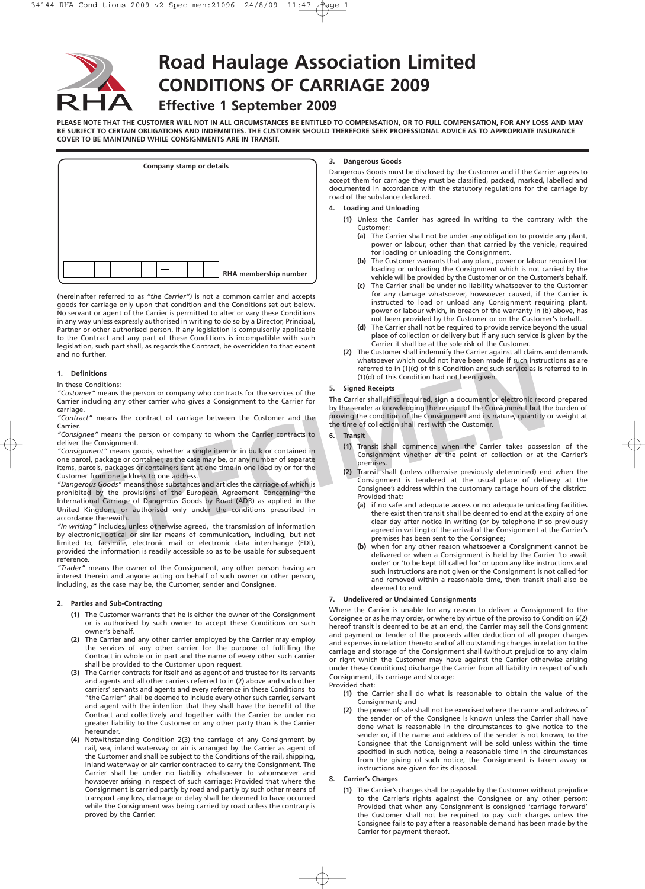

## **Road Haulage Association Limited CONDITIONS OF CARRIAGE 2009 Effective 1 September 2009**

**PLEASE NOTE THAT THE CUSTOMER WILL NOT IN ALL CIRCUMSTANCES BE ENTITLED TO COMPENSATION, OR TO FULL COMPENSATION, FOR ANY LOSS AND MAY BE SUBJECT TO CERTAIN OBLIGATIONS AND INDEMNITIES. THE CUSTOMER SHOULD THEREFORE SEEK PROFESSIONAL ADVICE AS TO APPROPRIATE INSURANCE COVER TO BE MAINTAINED WHILE CONSIGNMENTS ARE IN TRANSIT.**



(hereinafter referred to as *"the Carrier")* is not a common carrier and accepts goods for carriage only upon that condition and the Conditions set out below. No servant or agent of the Carrier is permitted to alter or vary these Conditions in any way unless expressly authorised in writing to do so by a Director, Principal, Partner or other authorised person. If any legislation is compulsorily applicable to the Contract and any part of these Conditions is incompatible with such legislation, such part shall, as regards the Contract, be overridden to that extent and no further.

#### **1. Definitions**

#### In these Conditions:

*"Customer"* means the person or company who contracts for the services of the Carrier including any other carrier who gives a Consignment to the Carrier for carriage.

*"Contract"* means the contract of carriage between the Customer and the Carrier.

*"Consignee"* means the person or company to whom the Carrier contracts to deliver the Consignment.

*"Consignment"* means goods, whether a single item or in bulk or contained in one parcel, package or container, as the case may be, or any number of separate items, parcels, packages or containers sent at one time in one load by or for the Customer from one address to one address.

initions<br>
Interiors:<br>
Forestigment to the services of the services of the services of the services of the services of the Condition and such services as is<br>
conditions:<br>
Signed Receipts<br>
Condition and such services as is<br> *"Dangerous Goods"* means those substances and articles the carriage of which is prohibited by the provisions of the European Agreement Concerning the International Carriage of Dangerous Goods by Road (ADR) as applied in the United Kingdom, or authorised only under the conditions prescribed in accordance therewith.

*"In writing"* includes, unless otherwise agreed, the transmission of information by electronic, optical or similar means of communication, including, but not limited to, facsimile, electronic mail or electronic data interchange (EDI), provided the information is readily accessible so as to be usable for subsequent reference.

*"Trader"* means the owner of the Consignment, any other person having an interest therein and anyone acting on behalf of such owner or other person, including, as the case may be, the Customer, sender and Consignee.

#### **2. Parties and Sub-Contracting**

- **(1)** The Customer warrants that he is either the owner of the Consignment or is authorised by such owner to accept these Conditions on such owner's behalf.
- **(2)** The Carrier and any other carrier employed by the Carrier may employ the services of any other carrier for the purpose of fulfilling the Contract in whole or in part and the name of every other such carrier shall be provided to the Customer upon request.
- **(3)** The Carrier contracts for itself and as agent of and trustee for its servants and agents and all other carriers referred to in (2) above and such other carriers' servants and agents and every reference in these Conditions to "the Carrier" shall be deemed to include every other such carrier, servant and agent with the intention that they shall have the benefit of the Contract and collectively and together with the Carrier be under no greater liability to the Customer or any other party than is the Carrier hereunder.
- **(4)** Notwithstanding Condition 2(3) the carriage of any Consignment by rail, sea, inland waterway or air is arranged by the Carrier as agent of the Customer and shall be subject to the Conditions of the rail, shipping, inland waterway or air carrier contracted to carry the Consignment. The Carrier shall be under no liability whatsoever to whomsoever and howsoever arising in respect of such carriage: Provided that where the Consignment is carried partly by road and partly by such other means of transport any loss, damage or delay shall be deemed to have occurred while the Consignment was being carried by road unless the contrary is proved by the Carrier.

#### **3. Dangerous Goods**

Dangerous Goods must be disclosed by the Customer and if the Carrier agrees to accept them for carriage they must be classified, packed, marked, labelled and documented in accordance with the statutory regulations for the carriage by road of the substance declared.

#### **4. Loading and Unloading**

- **(1)** Unless the Carrier has agreed in writing to the contrary with the Customer:
	- **(a)** The Carrier shall not be under any obligation to provide any plant, power or labour, other than that carried by the vehicle, required for loading or unloading the Consignment.
	- **(b)** The Customer warrants that any plant, power or labour required for loading or unloading the Consignment which is not carried by the vehicle will be provided by the Customer or on the Customer's behalf.
	- **(c)** The Carrier shall be under no liability whatsoever to the Customer for any damage whatsoever, howsoever caused, if the Carrier is instructed to load or unload any Consignment requiring plant, power or labour which, in breach of the warranty in (b) above, has not been provided by the Customer or on the Customer's behalf.
	- **(d)** The Carrier shall not be required to provide service beyond the usual place of collection or delivery but if any such service is given by the Carrier it shall be at the sole risk of the Customer.
- **(2)** The Customer shall indemnify the Carrier against all claims and demands whatsoever which could not have been made if such instructions as are referred to in (1)(c) of this Condition and such service as is referred to in (1)(d) of this Condition had not been given.

#### **5. Signed Receipts**

The Carrier shall, if so required, sign a document or electronic record prepared by the sender acknowledging the receipt of the Consignment but the burden of proving the condition of the Consignment and its nature, quantity or weight at the time of collection shall rest with the Customer.

- **6. Transit**
	- **(1)** Transit shall commence when the Carrier takes possession of the Consignment whether at the point of collection or at the Carrier's premises.
	- **(2)** Transit shall (unless otherwise previously determined) end when the Consignment is tendered at the usual place of delivery at the Consignee's address within the customary cartage hours of the district: Provided that:
		- **(a)** if no safe and adequate access or no adequate unloading facilities there exist then transit shall be deemed to end at the expiry of one clear day after notice in writing (or by telephone if so previously agreed in writing) of the arrival of the Consignment at the Carrier's premises has been sent to the Consignee;
		- **(b)** when for any other reason whatsoever a Consignment cannot be delivered or when a Consignment is held by the Carrier 'to await order' or 'to be kept till called for' or upon any like instructions and such instructions are not given or the Consignment is not called for and removed within a reasonable time, then transit shall also be deemed to end.

#### **7. Undelivered or Unclaimed Consignments**

Where the Carrier is unable for any reason to deliver a Consignment to the Consignee or as he may order, or where by virtue of the proviso to Condition 6(2) hereof transit is deemed to be at an end, the Carrier may sell the Consignment and payment or tender of the proceeds after deduction of all proper charges and expenses in relation thereto and of all outstanding charges in relation to the carriage and storage of the Consignment shall (without prejudice to any claim or right which the Customer may have against the Carrier otherwise arising under these Conditions) discharge the Carrier from all liability in respect of such Consignment, its carriage and storage: Provided that:

- **(1)** the Carrier shall do what is reasonable to obtain the value of the Consignment; and
- **(2)** the power of sale shall not be exercised where the name and address of the sender or of the Consignee is known unless the Carrier shall have done what is reasonable in the circumstances to give notice to the sender or, if the name and address of the sender is not known, to the Consignee that the Consignment will be sold unless within the time specified in such notice, being a reasonable time in the circumstances from the giving of such notice, the Consignment is taken away or instructions are given for its disposal.

#### **8. Carrier's Charges**

**(1)** The Carrier's charges shall be payable by the Customer without prejudice to the Carrier's rights against the Consignee or any other person: Provided that when any Consignment is consigned 'carriage forward' the Customer shall not be required to pay such charges unless the Consignee fails to pay after a reasonable demand has been made by the Carrier for payment thereof.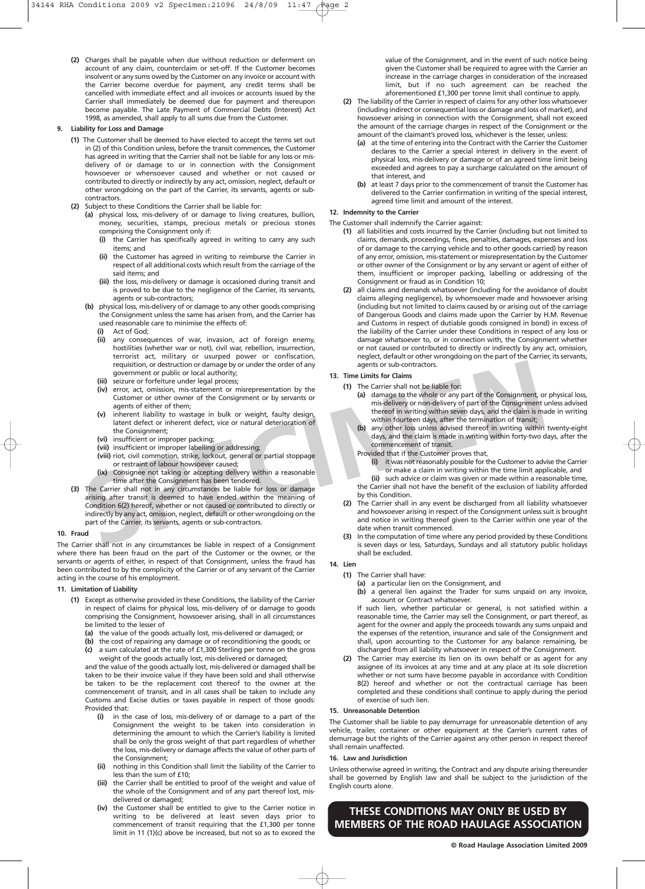**(2)** Charges shall be payable when due without reduction or deferment on account of any claim, counterclaim or set-off. If the Customer becomes insolvent or any sums owed by the Customer on any invoice or account with the Carrier become overdue for payment, any credit terms shall be cancelled with immediate effect and all invoices or accounts issued by the Carrier shall immediately be deemed due for payment and thereupon become payable. The Late Payment of Commercial Debts (Interest) Act 1998, as amended, shall apply to all sums due from the Customer.

#### **9. Liability for Loss and Damage**

- **(1)** The Customer shall be deemed to have elected to accept the terms set out in (2) of this Condition unless, before the transit commences, the Customer has agreed in writing that the Carrier shall not be liable for any loss or misdelivery of or damage to or in connection with the Consignment howsoever or whensoever caused and whether or not caused or contributed to directly or indirectly by any act, omission, neglect, default or other wrongdoing on the part of the Carrier, its servants, agents or subcontractors.
- **(2)** Subject to these Conditions the Carrier shall be liable for:
	- **(a)** physical loss, mis-delivery of or damage to living creatures, bullion, money, securities, stamps, precious metals or precious stones comprising the Consignment only if:
		- **(i)** the Carrier has specifically agreed in writing to carry any such items; and
		- **(ii)** the Customer has agreed in writing to reimburse the Carrier in respect of all additional costs which result from the carriage of the said items; and
		- **(iii)** the loss, mis-delivery or damage is occasioned during transit and is proved to be due to the negligence of the Carrier, its servants, agents or sub-contractors;
	- **(b)** physical loss, mis-delivery of or damage to any other goods comprising the Consignment unless the same has arisen from, and the Carrier has used reasonable care to minimise the effects of:
		- **(i)** Act of God;
		- **(ii)** any consequences of war, invasion, act of foreign enemy, hostilities (whether war or not), civil war, rebellion, insurrection, terrorist act, military or usurped power or confiscation, requisition, or destruction or damage by or under the order of any government or public or local authority;
		- **(iii)** seizure or forfeiture under legal process;
		- **(iv)** error, act, omission, mis-statement or misrepresentation by the Customer or other owner of the Consignment or by servants or agents of either of them;
		- **(v)** inherent liability to wastage in bulk or weight, faulty design, latent defect or inherent defect, vice or natural deterioration of the Consignment;
		- **(vi)** insufficient or improper packing;
		- **(vii)** insufficient or improper labelling or addressing;
		- **(viii)** riot, civil commotion, strike, lockout, general or partial stoppage or restraint of labour howsoever caused;
		- **(ix)** Consignee not taking or accepting delivery within a reasonable time after the Consignment has been tendered.
- equation, or described to the consignment or public or local authority;<br>
(ii) seizue or forefitte under legal process, the carrier schain of the Consignment (i) exerce, act, omission, mis-statement or by servants or<br>
(ii) **(3)** The Carrier shall not in any circumstances be liable for loss or damage arising after transit is deemed to have ended within the meaning of Condition 6(2) hereof, whether or not caused or contributed to directly or indirectly by any act, omission, neglect, default or other wrongdoing on the part of the Carrier, its servants, agents or sub-contractors.

#### **10. Fraud**

The Carrier shall not in any circumstances be liable in respect of a Consignment where there has been fraud on the part of the Customer or the owner, or the servants or agents of either, in respect of that Consignment, unless the fraud has been contributed to by the complicity of the Carrier or of any servant of the Carrier acting in the course of his employment.

#### **11. Limitation of Liability**

- **(1)** Except as otherwise provided in these Conditions, the liability of the Carrier in respect of claims for physical loss, mis-delivery of or damage to goods comprising the Consignment, howsoever arising, shall in all circumstances be limited to the lesser of
	- **(a)** the value of the goods actually lost, mis-delivered or damaged; or
	- **(b)** the cost of repairing any damage or of reconditioning the goods; or
	- **(c)** a sum calculated at the rate of £1,300 Sterling per tonne on the gross weight of the goods actually lost, mis-delivered or damaged;

and the value of the goods actually lost, mis-delivered or damaged shall be taken to be their invoice value if they have been sold and shall otherwise be taken to be the replacement cost thereof to the owner at the commencement of transit, and in all cases shall be taken to include any Customs and Excise duties or taxes payable in respect of those goods: Provided that:

- **(i)** in the case of loss, mis-delivery of or damage to a part of the Consignment the weight to be taken into consideration in determining the amount to which the Carrier's liability is limited shall be only the gross weight of that part regardless of whether the loss, mis-delivery or damage affects the value of other parts of the Consignment;
- **(ii)** nothing in this Condition shall limit the liability of the Carrier to less than the sum of £10;
- **(iii)** the Carrier shall be entitled to proof of the weight and value of the whole of the Consignment and of any part thereof lost, misdelivered or damaged;
- **(iv)** the Customer shall be entitled to give to the Carrier notice in writing to be delivered at least seven days prior to commencement of transit requiring that the £1,300 per tonne limit in 11 (1)(c) above be increased, but not so as to exceed the

value of the Consignment, and in the event of such notice being given the Customer shall be required to agree with the Carrier an increase in the carriage charges in consideration of the increased limit, but if no such agreement can be reached the aforementioned £1,300 per tonne limit shall continue to apply.

- **(2)** The liability of the Carrier in respect of claims for any other loss whatsoever (including indirect or consequential loss or damage and loss of market), and howsoever arising in connection with the Consignment, shall not exceed the amount of the carriage charges in respect of the Consignment or the amount of the claimant's proved loss, whichever is the lesser, unless:
	- **(a)** at the time of entering into the Contract with the Carrier the Customer declares to the Carrier a special interest in delivery in the event of physical loss, mis-delivery or damage or of an agreed time limit being exceeded and agrees to pay a surcharge calculated on the amount of that interest, and
	- **(b)** at least 7 days prior to the commencement of transit the Customer has delivered to the Carrier confirmation in writing of the special interest, agreed time limit and amount of the interest.

#### **12. Indemnity to the Carrier**

- The Customer shall indemnify the Carrier against:
	- **(1)** all liabilities and costs incurred by the Carrier (including but not limited to claims, demands, proceedings, fines, penalties, damages, expenses and loss of or damage to the carrying vehicle and to other goods carried) by reason of any error, omission, mis-statement or misrepresentation by the Customer or other owner of the Consignment or by any servant or agent of either of them, insufficient or improper packing, labelling or addressing of the Consignment or fraud as in Condition 10;
	- **(2)** all claims and demands whatsoever (including for the avoidance of doubt claims alleging negligence), by whomsoever made and howsoever arising (including but not limited to claims caused by or arising out of the carriage of Dangerous Goods and claims made upon the Carrier by H.M. Revenue and Customs in respect of dutiable goods consigned in bond) in excess of the liability of the Carrier under these Conditions in respect of any loss or damage whatsoever to, or in connection with, the Consignment whether or not caused or contributed to directly or indirectly by any act, omission, neglect, default or other wrongdoing on the part of the Carrier, its servants, agents or sub-contractors.

#### **13. Time Limits for Claims**

- **(1)** The Carrier shall not be liable for:
	- **(a)** damage to the whole or any part of the Consignment, or physical loss, mis-delivery or non-delivery of part of the Consignment unless advised thereof in writing within seven days, and the claim is made in writing within fourteen days, after the termination of transit;
	- **(b)** any other loss unless advised thereof in writing within twenty-eight days, and the claim is made in writing within forty-two days, after the commencement of transit.

Provided that if the Customer proves that,

- **(i)** it was not reasonably possible for the Customer to advise the Carrier or make a claim in writing within the time limit applicable, and
- **(ii)** such advice or claim was given or made within a reasonable time, the Carrier shall not have the benefit of the exclusion of liability afforded by this Condition.
- **(2)** The Carrier shall in any event be discharged from all liability whatsoever and howsoever arising in respect of the Consignment unless suit is brought and notice in writing thereof given to the Carrier within one year of the date when transit commenced.
- **(3)** In the computation of time where any period provided by these Conditions is seven days or less, Saturdays, Sundays and all statutory public holidays shall be excluded.

#### **14. Lien**

- **(1)** The Carrier shall have:
	- **(a)** a particular lien on the Consignment, and

**(b)** a general lien against the Trader for sums unpaid on any invoice, account or Contract whatsoever.

If such lien, whether particular or general, is not satisfied within a reasonable time, the Carrier may sell the Consignment, or part thereof, as agent for the owner and apply the proceeds towards any sums unpaid and the expenses of the retention, insurance and sale of the Consignment and shall, upon accounting to the Customer for any balance remaining, be discharged from all liability whatsoever in respect of the Consignment.

**(2)** The Carrier may exercise its lien on its own behalf or as agent for any assignee of its invoices at any time and at any place at its sole discretion whether or not sums have become payable in accordance with Condition 8(2) hereof and whether or not the contractual carriage has been completed and these conditions shall continue to apply during the period of exercise of such lien.

#### **15. Unreasonable Detention**

The Customer shall be liable to pay demurrage for unreasonable detention of any vehicle, trailer, container or other equipment at the Carrier's current rates of demurrage but the rights of the Carrier against any other person in respect thereof shall remain unaffected.

#### **16. Law and Jurisdiction**

Unless otherwise agreed in writing, the Contract and any dispute arising thereunder shall be governed by English law and shall be subject to the jurisdiction of the English courts alone.

**THESE CONDITIONS MAY ONLY BE USED BY MEMBERS OF THE ROAD HAULAGE ASSOCIATION**